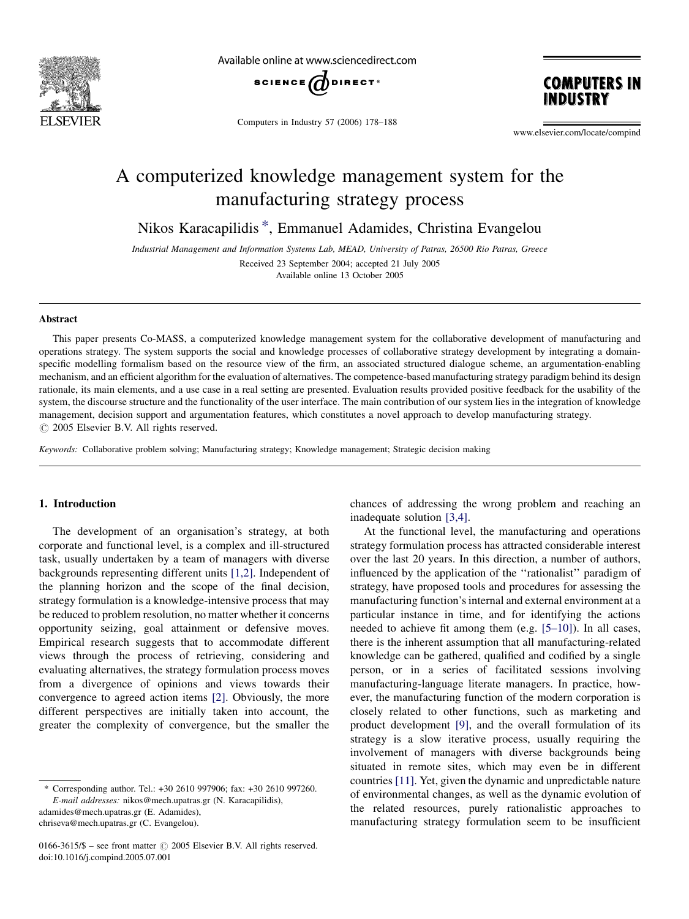

Available online at www.sciencedirect.com



Computers in Industry 57 (2006) 178–188

**COMPUTERS IN** NDUSTRY

www.elsevier.com/locate/compind

# A computerized knowledge management system for the manufacturing strategy process

Nikos Karacapilidis \*, Emmanuel Adamides, Christina Evangelou

Industrial Management and Information Systems Lab, MEAD, University of Patras, 26500 Rio Patras, Greece Received 23 September 2004; accepted 21 July 2005

Available online 13 October 2005

#### Abstract

This paper presents Co-MASS, a computerized knowledge management system for the collaborative development of manufacturing and operations strategy. The system supports the social and knowledge processes of collaborative strategy development by integrating a domainspecific modelling formalism based on the resource view of the firm, an associated structured dialogue scheme, an argumentation-enabling mechanism, and an efficient algorithm for the evaluation of alternatives. The competence-based manufacturing strategy paradigm behind its design rationale, its main elements, and a use case in a real setting are presented. Evaluation results provided positive feedback for the usability of the system, the discourse structure and the functionality of the user interface. The main contribution of our system lies in the integration of knowledge management, decision support and argumentation features, which constitutes a novel approach to develop manufacturing strategy.  $\odot$  2005 Elsevier B.V. All rights reserved.

Keywords: Collaborative problem solving; Manufacturing strategy; Knowledge management; Strategic decision making

#### 1. Introduction

The development of an organisation's strategy, at both corporate and functional level, is a complex and ill-structured task, usually undertaken by a team of managers with diverse backgrounds representing different units [\[1,2\].](#page--1-0) Independent of the planning horizon and the scope of the final decision, strategy formulation is a knowledge-intensive process that may be reduced to problem resolution, no matter whether it concerns opportunity seizing, goal attainment or defensive moves. Empirical research suggests that to accommodate different views through the process of retrieving, considering and evaluating alternatives, the strategy formulation process moves from a divergence of opinions and views towards their convergence to agreed action items [\[2\].](#page--1-0) Obviously, the more different perspectives are initially taken into account, the greater the complexity of convergence, but the smaller the

chances of addressing the wrong problem and reaching an inadequate solution [\[3,4\]](#page--1-0).

At the functional level, the manufacturing and operations strategy formulation process has attracted considerable interest over the last 20 years. In this direction, a number of authors, influenced by the application of the ''rationalist'' paradigm of strategy, have proposed tools and procedures for assessing the manufacturing function's internal and external environment at a particular instance in time, and for identifying the actions needed to achieve fit among them (e.g. [\[5–10\]\)](#page--1-0). In all cases, there is the inherent assumption that all manufacturing-related knowledge can be gathered, qualified and codified by a single person, or in a series of facilitated sessions involving manufacturing-language literate managers. In practice, however, the manufacturing function of the modern corporation is closely related to other functions, such as marketing and product development [\[9\]](#page--1-0), and the overall formulation of its strategy is a slow iterative process, usually requiring the involvement of managers with diverse backgrounds being situated in remote sites, which may even be in different countries [\[11\]](#page--1-0). Yet, given the dynamic and unpredictable nature of environmental changes, as well as the dynamic evolution of the related resources, purely rationalistic approaches to manufacturing strategy formulation seem to be insufficient

<sup>\*</sup> Corresponding author. Tel.: +30 2610 997906; fax: +30 2610 997260. E-mail addresses: nikos@mech.upatras.gr (N. Karacapilidis), adamides@mech.upatras.gr (E. Adamides), chriseva@mech.upatras.gr (C. Evangelou).

<sup>0166-3615/\$ –</sup> see front matter  $\odot$  2005 Elsevier B.V. All rights reserved. doi:10.1016/j.compind.2005.07.001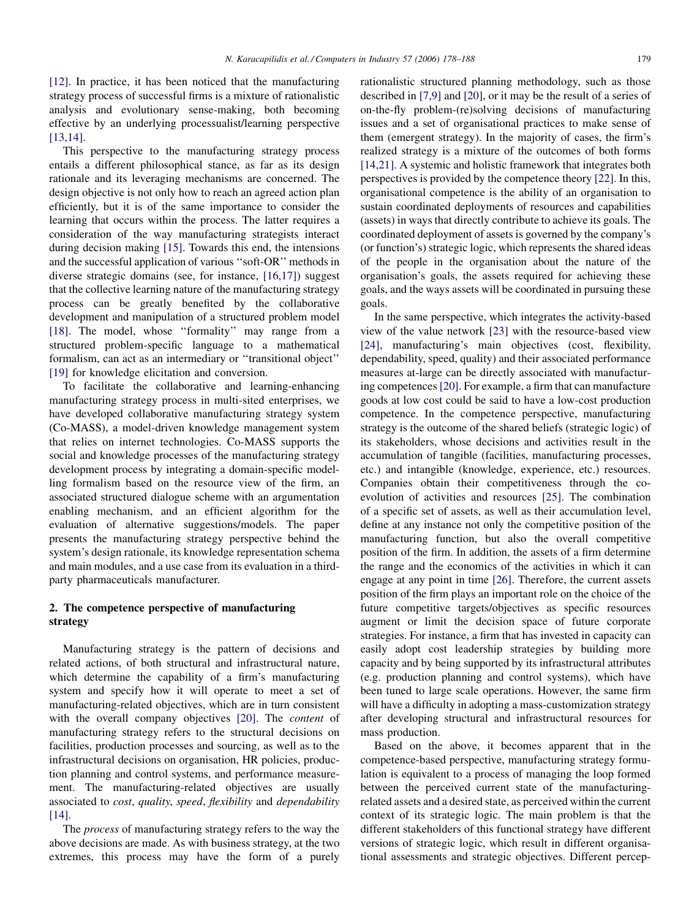[\[12\]](#page--1-0). In practice, it has been noticed that the manufacturing strategy process of successful firms is a mixture of rationalistic analysis and evolutionary sense-making, both becoming effective by an underlying processualist/learning perspective [\[13,14\].](#page--1-0)

This perspective to the manufacturing strategy process entails a different philosophical stance, as far as its design rationale and its leveraging mechanisms are concerned. The design objective is not only how to reach an agreed action plan efficiently, but it is of the same importance to consider the learning that occurs within the process. The latter requires a consideration of the way manufacturing strategists interact during decision making [\[15\].](#page--1-0) Towards this end, the intensions and the successful application of various ''soft-OR'' methods in diverse strategic domains (see, for instance, [\[16,17\]](#page--1-0)) suggest that the collective learning nature of the manufacturing strategy process can be greatly benefited by the collaborative development and manipulation of a structured problem model [\[18\]](#page--1-0). The model, whose ''formality'' may range from a structured problem-specific language to a mathematical formalism, can act as an intermediary or ''transitional object'' [\[19\]](#page--1-0) for knowledge elicitation and conversion.

To facilitate the collaborative and learning-enhancing manufacturing strategy process in multi-sited enterprises, we have developed collaborative manufacturing strategy system (Co-MASS), a model-driven knowledge management system that relies on internet technologies. Co-MASS supports the social and knowledge processes of the manufacturing strategy development process by integrating a domain-specific modelling formalism based on the resource view of the firm, an associated structured dialogue scheme with an argumentation enabling mechanism, and an efficient algorithm for the evaluation of alternative suggestions/models. The paper presents the manufacturing strategy perspective behind the system's design rationale, its knowledge representation schema and main modules, and a use case from its evaluation in a thirdparty pharmaceuticals manufacturer.

### 2. The competence perspective of manufacturing strategy

Manufacturing strategy is the pattern of decisions and related actions, of both structural and infrastructural nature, which determine the capability of a firm's manufacturing system and specify how it will operate to meet a set of manufacturing-related objectives, which are in turn consistent with the overall company objectives [\[20\]](#page--1-0). The *content* of manufacturing strategy refers to the structural decisions on facilities, production processes and sourcing, as well as to the infrastructural decisions on organisation, HR policies, production planning and control systems, and performance measurement. The manufacturing-related objectives are usually associated to cost, quality, speed, flexibility and dependability [\[14\]](#page--1-0).

The process of manufacturing strategy refers to the way the above decisions are made. As with business strategy, at the two extremes, this process may have the form of a purely rationalistic structured planning methodology, such as those described in [\[7,9\]](#page--1-0) and [\[20\]](#page--1-0), or it may be the result of a series of on-the-fly problem-(re)solving decisions of manufacturing issues and a set of organisational practices to make sense of them (emergent strategy). In the majority of cases, the firm's realized strategy is a mixture of the outcomes of both forms [\[14,21\].](#page--1-0) A systemic and holistic framework that integrates both perspectives is provided by the competence theory [\[22\]](#page--1-0). In this, organisational competence is the ability of an organisation to sustain coordinated deployments of resources and capabilities (assets) in ways that directly contribute to achieve its goals. The coordinated deployment of assets is governed by the company's (or function's) strategic logic, which represents the shared ideas of the people in the organisation about the nature of the organisation's goals, the assets required for achieving these goals, and the ways assets will be coordinated in pursuing these goals.

In the same perspective, which integrates the activity-based view of the value network [\[23\]](#page--1-0) with the resource-based view [\[24\]](#page--1-0), manufacturing's main objectives (cost, flexibility, dependability, speed, quality) and their associated performance measures at-large can be directly associated with manufacturing competences[\[20\].](#page--1-0) For example, a firm that can manufacture goods at low cost could be said to have a low-cost production competence. In the competence perspective, manufacturing strategy is the outcome of the shared beliefs (strategic logic) of its stakeholders, whose decisions and activities result in the accumulation of tangible (facilities, manufacturing processes, etc.) and intangible (knowledge, experience, etc.) resources. Companies obtain their competitiveness through the coevolution of activities and resources [\[25\]](#page--1-0). The combination of a specific set of assets, as well as their accumulation level, define at any instance not only the competitive position of the manufacturing function, but also the overall competitive position of the firm. In addition, the assets of a firm determine the range and the economics of the activities in which it can engage at any point in time [\[26\]](#page--1-0). Therefore, the current assets position of the firm plays an important role on the choice of the future competitive targets/objectives as specific resources augment or limit the decision space of future corporate strategies. For instance, a firm that has invested in capacity can easily adopt cost leadership strategies by building more capacity and by being supported by its infrastructural attributes (e.g. production planning and control systems), which have been tuned to large scale operations. However, the same firm will have a difficulty in adopting a mass-customization strategy after developing structural and infrastructural resources for mass production.

Based on the above, it becomes apparent that in the competence-based perspective, manufacturing strategy formulation is equivalent to a process of managing the loop formed between the perceived current state of the manufacturingrelated assets and a desired state, as perceived within the current context of its strategic logic. The main problem is that the different stakeholders of this functional strategy have different versions of strategic logic, which result in different organisational assessments and strategic objectives. Different percep-